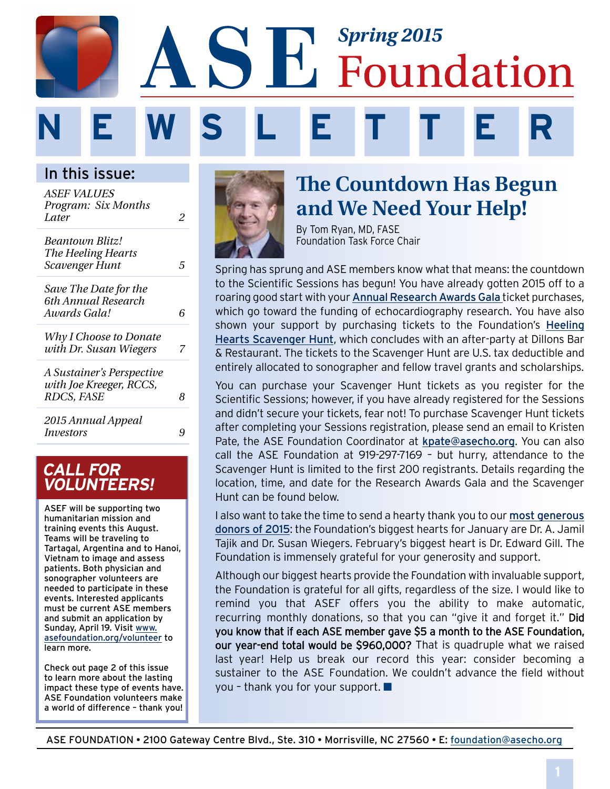# *Spring 2015* Foundation **N E W S L E T T E R**

In this issue:

| <i>ASEF VALUES</i>           |   |
|------------------------------|---|
| Program: Six Months<br>Later |   |
|                              | 2 |
| Beantown Blitz!              |   |
| The Heeling Hearts           |   |
| <b>Scavenger Hunt</b>        | 5 |
| Save The Date for the        |   |
| 6th Annual Research          |   |
| Awards Gala!                 | 6 |
| Why I Choose to Donate       |   |
| with Dr. Susan Wiegers       | 7 |
| A Sustainer's Perspective    |   |
| with Joe Kreeger, RCCS,      |   |
| RDCS, FASE                   | 8 |
| 2015 Annual Appeal           |   |
| <i>Investors</i>             |   |
|                              |   |

### **CALL FOR VOLUNTEERS!**

ASEF will be supporting two humanitarian mission and training events this August. Teams will be traveling to Tartagal, Argentina and to Hanoi, Vietnam to image and assess patients. Both physician and sonographer volunteers are needed to participate in these events. Interested applicants must be current ASE members and submit an application by Sunday, April 19. Visit [www.](http://www.asefoundation.org/volunteer) [asefoundation.org/volunteer](http://www.asefoundation.org/volunteer) to learn more.

Check out page 2 of this issue to learn more about the lasting impact these type of events have. ASE Foundation volunteers make a world of difference – thank you!



# **The Countdown Has Begun and We Need Your Help!**

By Tom Ryan, MD, FASE Foundation Task Force Chair

Spring has sprung and ASE members know what that means: the countdown to the Scientific Sessions has begun! You have already gotten 2015 off to a roaring good start with your [Annual Research Awards Gala](http://www.asefoundation.org/events/gala/) ticket purchases, which go toward the funding of echocardiography research. You have also shown your support by purchasing tickets to the Foundation's [Heeling](http://www.asefoundation.org/heelinghearts/)  [Hearts Scavenger Hunt](http://www.asefoundation.org/heelinghearts/), which concludes with an after-party at Dillons Bar & Restaurant. The tickets to the Scavenger Hunt are U.S. tax deductible and entirely allocated to sonographer and fellow travel grants and scholarships.

You can purchase your Scavenger Hunt tickets as you register for the Scientific Sessions; however, if you have already registered for the Sessions and didn't secure your tickets, fear not! To purchase Scavenger Hunt tickets after completing your Sessions registration, please send an email to Kristen Pate, the ASE Foundation Coordinator at [kpate@asecho.org](mailto:kpate%40asecho.org?subject=). You can also call the ASE Foundation at 919-297-7169 – but hurry, attendance to the Scavenger Hunt is limited to the first 200 registrants. Details regarding the location, time, and date for the Research Awards Gala and the Scavenger Hunt can be found below.

I also want to take the time to send a hearty thank you to our [most generous](http://www.asefoundation.org/2015-annual-appeal/)  [donors of 2015](http://www.asefoundation.org/2015-annual-appeal/): the Foundation's biggest hearts for January are Dr. A. Jamil Tajik and Dr. Susan Wiegers. February's biggest heart is Dr. Edward Gill. The Foundation is immensely grateful for your generosity and support.

Although our biggest hearts provide the Foundation with invaluable support, the Foundation is grateful for all gifts, regardless of the size. I would like to remind you that ASEF offers you the ability to make automatic, recurring monthly donations, so that you can "give it and forget it." Did you know that if each ASE member gave \$5 a month to the ASE Foundation, our year-end total would be \$960,000? That is quadruple what we raised last year! Help us break our record this year: consider becoming a sustainer to the ASE Foundation. We couldn't advance the field without you - thank you for your support.  $\blacksquare$ 

ASE FOUNDATION • 2100 Gateway Centre Blvd., Ste. 310 • Morrisville, NC 27560 • E: foundation@asecho.org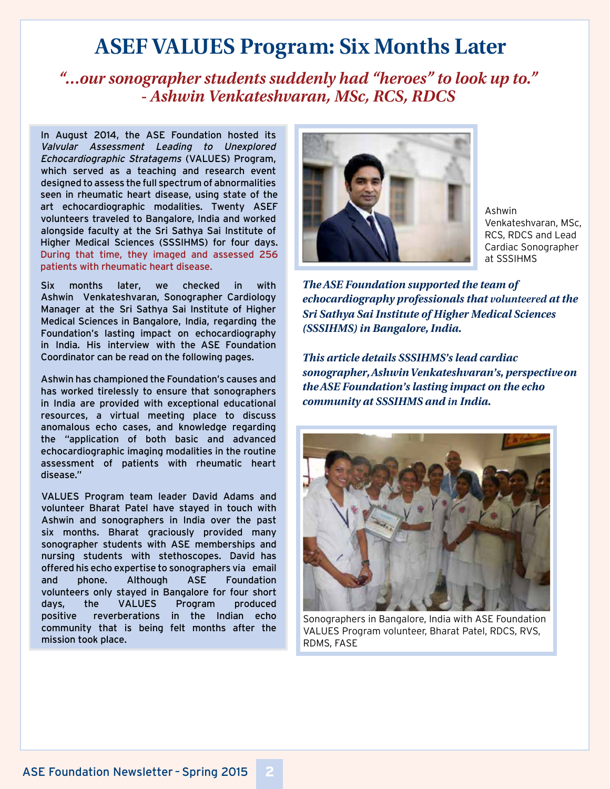# **ASEF VALUES Program: Six Months Later**

## *"…our sonographer students suddenly had "heroes" to look up to." - Ashwin Venkateshvaran, MSc, RCS, RDCS*

In August 2014, the ASE Foundation hosted its Valvular Assessment Leading to Unexplored Echocardiographic Stratagems (VALUES) Program, which served as a teaching and research event designed to assess the full spectrum of abnormalities seen in rheumatic heart disease, using state of the art echocardiographic modalities. Twenty ASEF volunteers traveled to Bangalore, India and worked alongside faculty at the Sri Sathya Sai Institute of Higher Medical Sciences (SSSIHMS) for four days. During that time, they imaged and assessed 256 patients with rheumatic heart disease.

Six months later, we checked in with Ashwin Venkateshvaran, Sonographer Cardiology Manager at the Sri Sathya Sai Institute of Higher Medical Sciences in Bangalore, India, regarding the Foundation's lasting impact on echocardiography in India. His interview with the ASE Foundation Coordinator can be read on the following pages.

Ashwin has championed the Foundation's causes and has worked tirelessly to ensure that sonographers in India are provided with exceptional educational resources, a virtual meeting place to discuss anomalous echo cases, and knowledge regarding the "application of both basic and advanced echocardiographic imaging modalities in the routine assessment of patients with rheumatic heart disease."

VALUES Program team leader David Adams and volunteer Bharat Patel have stayed in touch with Ashwin and sonographers in India over the past six months. Bharat graciously provided many sonographer students with ASE memberships and nursing students with stethoscopes. David has offered his echo expertise to sonographers via email and phone. Although ASE Foundation volunteers only stayed in Bangalore for four short days, the VALUES Program produced positive reverberations in the Indian echo community that is being felt months after the mission took place.



Ashwin Venkateshvaran, MSc, RCS, RDCS and Lead Cardiac Sonographer at SSSIHMS

*The ASE Foundation supported the team of echocardiography professionals that volunteered at the Sri Sathya Sai Institute of Higher Medical Sciences (SSSIHMS) in Bangalore, India.* 

*This article details SSSIHMS's lead cardiac sonographer, Ashwin Venkateshvaran's, perspective on the ASE Foundation's lasting impact on the echo community at SSSIHMS and in India.*



Sonographers in Bangalore, India with ASE Foundation VALUES Program volunteer, Bharat Patel, RDCS, RVS, RDMS, FASE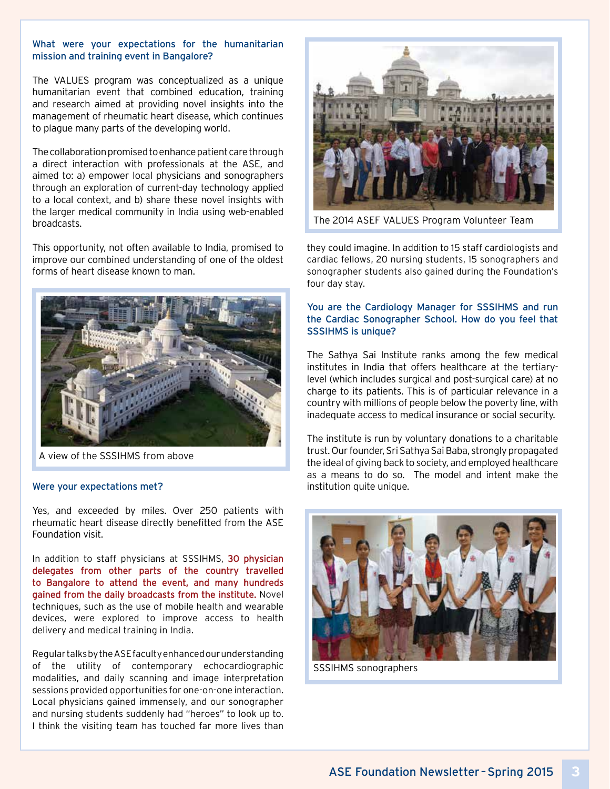#### What were your expectations for the humanitarian mission and training event in Bangalore?

The VALUES program was conceptualized as a unique humanitarian event that combined education, training and research aimed at providing novel insights into the management of rheumatic heart disease, which continues to plague many parts of the developing world.

The collaboration promised to enhance patient care through a direct interaction with professionals at the ASE, and aimed to: a) empower local physicians and sonographers through an exploration of current-day technology applied to a local context, and b) share these novel insights with the larger medical community in India using web-enabled broadcasts.

This opportunity, not often available to India, promised to improve our combined understanding of one of the oldest forms of heart disease known to man.



A view of the SSSIHMS from above

#### Were your expectations met?

Yes, and exceeded by miles. Over 250 patients with rheumatic heart disease directly benefitted from the ASE Foundation visit.

In addition to staff physicians at SSSIHMS, 30 physician delegates from other parts of the country travelled to Bangalore to attend the event, and many hundreds gained from the daily broadcasts from the institute. Novel techniques, such as the use of mobile health and wearable devices, were explored to improve access to health delivery and medical training in India.

Regular talks by the ASE faculty enhanced our understanding of the utility of contemporary echocardiographic modalities, and daily scanning and image interpretation sessions provided opportunities for one-on-one interaction. Local physicians gained immensely, and our sonographer and nursing students suddenly had "heroes" to look up to. I think the visiting team has touched far more lives than



The 2014 ASEF VALUES Program Volunteer Team

they could imagine. In addition to 15 staff cardiologists and cardiac fellows, 20 nursing students, 15 sonographers and sonographer students also gained during the Foundation's four day stay.

#### You are the Cardiology Manager for SSSIHMS and run the Cardiac Sonographer School. How do you feel that SSSIHMS is unique?

The Sathya Sai Institute ranks among the few medical institutes in India that offers healthcare at the tertiarylevel (which includes surgical and post-surgical care) at no charge to its patients. This is of particular relevance in a country with millions of people below the poverty line, with inadequate access to medical insurance or social security.

The institute is run by voluntary donations to a charitable trust. Our founder, Sri Sathya Sai Baba, strongly propagated the ideal of giving back to society, and employed healthcare as a means to do so. The model and intent make the institution quite unique.



SSSIHMS sonographers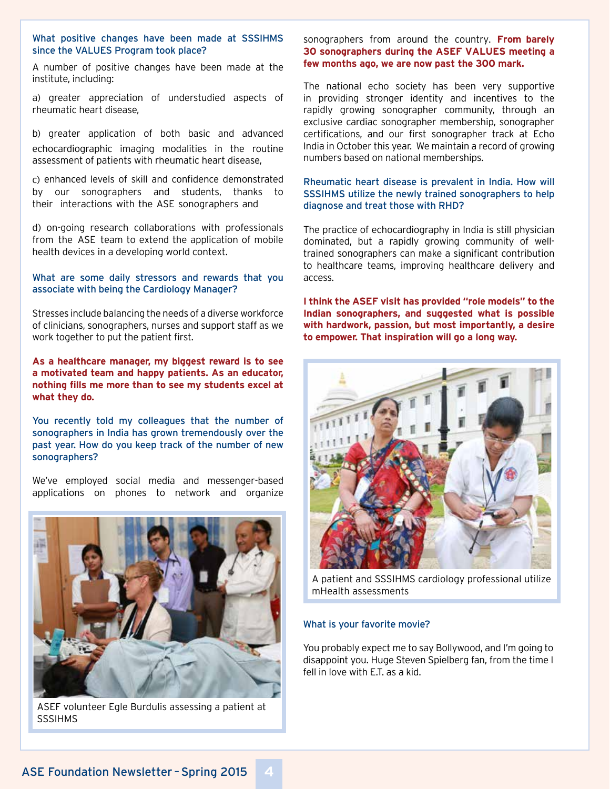#### What positive changes have been made at SSSIHMS since the VALUES Program took place?

A number of positive changes have been made at the institute, including:

a) greater appreciation of understudied aspects of rheumatic heart disease,

b) greater application of both basic and advanced echocardiographic imaging modalities in the routine assessment of patients with rheumatic heart disease,

c) enhanced levels of skill and confidence demonstrated by our sonographers and students, thanks to their interactions with the ASE sonographers and

d) on-going research collaborations with professionals from the ASE team to extend the application of mobile health devices in a developing world context.

#### What are some daily stressors and rewards that you associate with being the Cardiology Manager?

Stresses include balancing the needs of a diverse workforce of clinicians, sonographers, nurses and support staff as we work together to put the patient first.

**As a healthcare manager, my biggest reward is to see a motivated team and happy patients. As an educator, nothing fills me more than to see my students excel at what they do.**

You recently told my colleagues that the number of sonographers in India has grown tremendously over the past year. How do you keep track of the number of new sonographers?

We've employed social media and messenger-based applications on phones to network and organize



ASEF volunteer Egle Burdulis assessing a patient at **SSSIHMS** 

#### sonographers from around the country. **From barely 30 sonographers during the ASEF VALUES meeting a few months ago, we are now past the 300 mark.**

The national echo society has been very supportive in providing stronger identity and incentives to the rapidly growing sonographer community, through an exclusive cardiac sonographer membership, sonographer certifications, and our first sonographer track at Echo India in October this year. We maintain a record of growing numbers based on national memberships.

#### Rheumatic heart disease is prevalent in India. How will SSSIHMS utilize the newly trained sonographers to help diagnose and treat those with RHD?

The practice of echocardiography in India is still physician dominated, but a rapidly growing community of welltrained sonographers can make a significant contribution to healthcare teams, improving healthcare delivery and access.

**I think the ASEF visit has provided "role models" to the Indian sonographers, and suggested what is possible with hardwork, passion, but most importantly, a desire to empower. That inspiration will go a long way.**



A patient and SSSIHMS cardiology professional utilize mHealth assessments

#### What is your favorite movie?

You probably expect me to say Bollywood, and I'm going to disappoint you. Huge Steven Spielberg fan, from the time I fell in love with E.T. as a kid.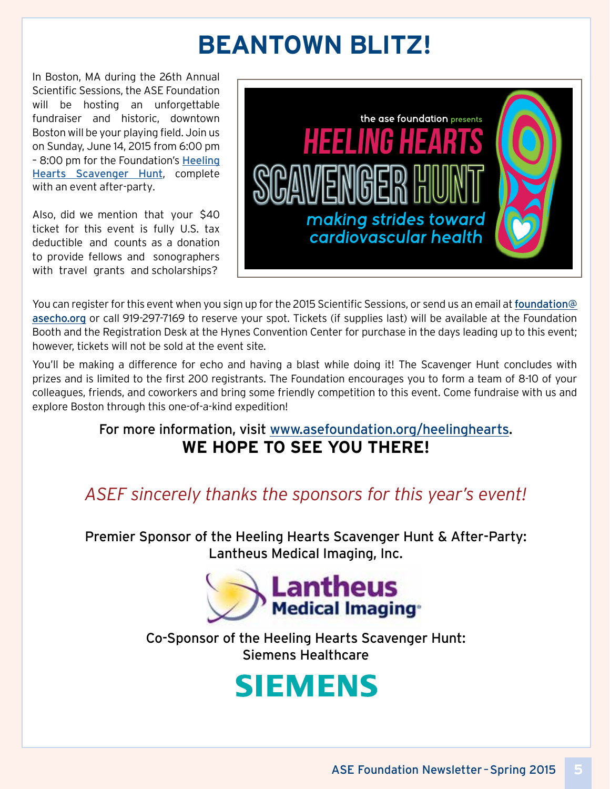# **BEANTOWN BLITZ!**

In Boston, MA during the 26th Annual Scientific Sessions, the ASE Foundation will be hosting an unforgettable fundraiser and historic, downtown Boston will be your playing field. Join us on Sunday, June 14, 2015 from 6:00 pm – 8:00 pm for the Foundation's [Heeling](http://www.asefoundation.org/heelinghearts/) [Hearts Scavenger Hu](http://www.asefoundation.org/heelinghearts/)nt, complete with an event after-party.

Also, did we mention that your \$40 ticket for this event is fully U.S. tax deductible and counts as a donation to provide fellows and sonographers with travel grants and scholarships?



You can register for this event when you sign up for the 2015 Scientific Sessions, or send us an email at [foundation@](mailto:foundation%40asecho.org?subject=) [asecho.org](mailto:foundation%40asecho.org?subject=) or call 919-297-7169 to reserve your spot. Tickets (if supplies last) will be available at the Foundation Booth and the Registration Desk at the Hynes Convention Center for purchase in the days leading up to this event; however, tickets will not be sold at the event site.

You'll be making a difference for echo and having a blast while doing it! The Scavenger Hunt concludes with prizes and is limited to the first 200 registrants. The Foundation encourages you to form a team of 8-10 of your colleagues, friends, and coworkers and bring some friendly competition to this event. Come fundraise with us and explore Boston through this one-of-a-kind expedition!

#### For more information, visit [www.asefoundation.org/heelinghearts](http://www.asefoundation.org/heelinghearts). **WE HOPE TO SEE YOU THERE!**

# *ASEF sincerely thanks the sponsors for this year's event!*

Premier Sponsor of the Heeling Hearts Scavenger Hunt & After-Party: Lantheus Medical Imaging, Inc.



Co-Sponsor of the Heeling Hearts Scavenger Hunt: Siemens Healthcare

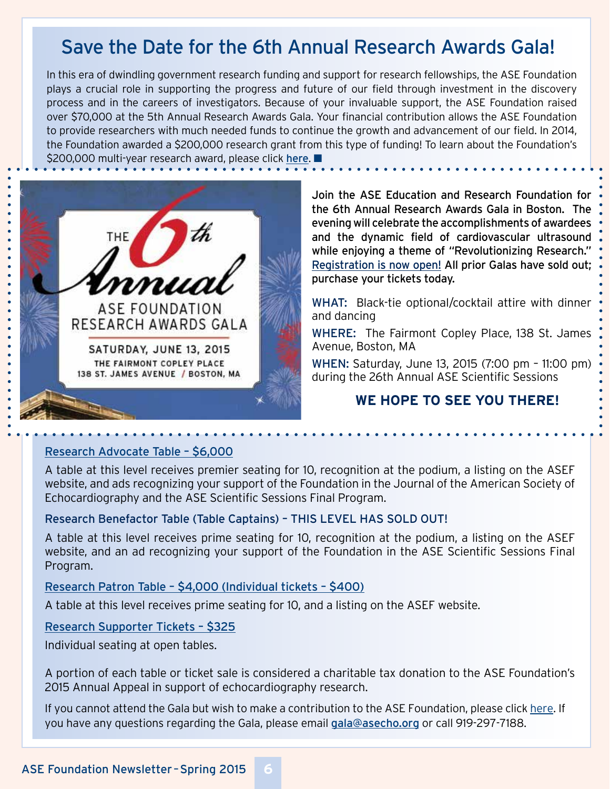# Save the Date for the 6th Annual Research Awards Gala!

In this era of dwindling government research funding and support for research fellowships, the ASE Foundation plays a crucial role in supporting the progress and future of our field through investment in the discovery process and in the careers of investigators. Because of your invaluable support, the ASE Foundation raised over \$70,000 at the 5th Annual Research Awards Gala. Your financial contribution allows the ASE Foundation to provide researchers with much needed funds to continue the growth and advancement of our field. In 2014, the Foundation awarded a \$200,000 research grant from this type of funding! To learn about the Foundation's \$200,000 multi-year research award, please click [here](http://asecho.org/wordpress/wp-content/uploads/2014/10/Research-Award-press-release-final-LH.pdf).



Join the ASE Education and Research Foundation for the 6th Annual Research Awards Gala in Boston. The evening will celebrate the accomplishments of awardees and the dynamic field of cardiovascular ultrasound while enjoying a theme of "Revolutionizing Research." [Registration is now open!](www.asefoundation.org/gala) All prior Galas have sold out; purchase your tickets today.

WHAT: Black-tie optional/cocktail attire with dinner and dancing

WHERE: The Fairmont Copley Place, 138 St. James Avenue, Boston, MA

WHEN: Saturday, June 13, 2015 (7:00 pm – 11:00 pm) during the 26th Annual ASE Scientific Sessions

#### **WE HOPE TO SEE YOU THERE!**

#### [Research Advocate Table – \\$6,000](https://asecho.secure.force.com/MN4__PublicEventRegistration?id=a0SG000000LDKWLMA5)

A table at this level receives premier seating for 10, recognition at the podium, a listing on the ASEF website, and ads recognizing your support of the Foundation in the Journal of the American Society of Echocardiography and the ASE Scientific Sessions Final Program.

#### Research Benefactor Table (Table Captains) – THIS LEVEL HAS SOLD OUT!

A table at this level receives prime seating for 10, recognition at the podium, a listing on the ASEF website, and an ad recognizing your support of the Foundation in the ASE Scientific Sessions Final Program.

#### [Research Patron Table – \\$4,000 \(Individual tickets – \\$400\)](https://asecho.secure.force.com/MN4__PublicEventRegistration?id=a0SG000000LDKlDMAX)

A table at this level receives prime seating for 10, and a listing on the ASEF website.

#### [Research Supporter Tickets – \\$325](https://asecho.secure.force.com/MN4__PublicEventRegistration?id=a0SG000000LDKiEMAX)

Individual seating at open tables.

A portion of each table or ticket sale is considered a charitable tax donation to the ASE Foundation's 2015 Annual Appeal in support of echocardiography research.

If you cannot attend the Gala but wish to make a contribution to the ASE Foundation, please click [here.](www.asefoundation.org/donate) If you have any questions regarding the Gala, please email [gala@asecho.org](mailto:gala%40asecho.org?subject=) or call 919-297-7188.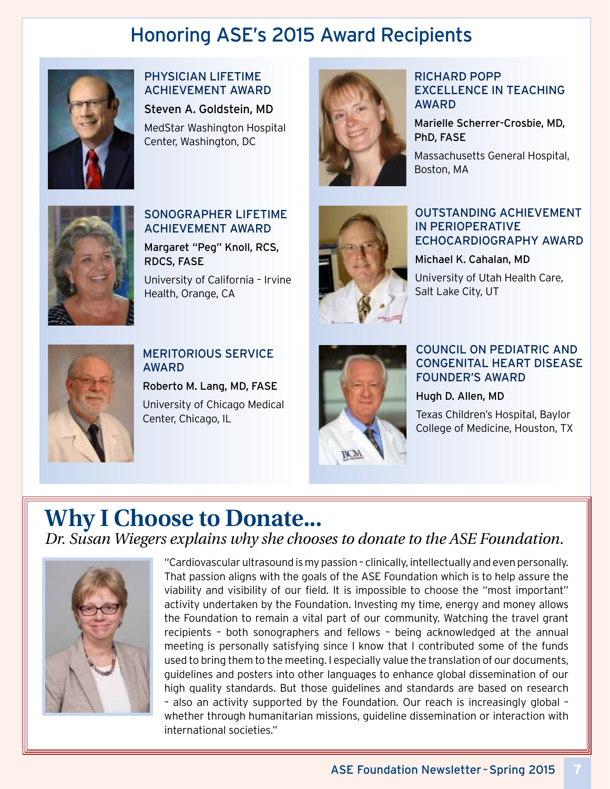# Honoring ASE's 2015 Award Recipients



#### PHYSICIAN LIFETIME ACHIEVEMENT AWARD Steven A. Goldstein, MD

MedStar Washington Hospital Center, Washington, DC



#### RICHARD POPP EXCELLENCE IN TEACHING AWARD

Marielle Scherrer-Crosbie, MD, PhD, FASE

Massachusetts General Hospital, Boston, MA



#### SONOGRAPHER LIFETIME ACHIEVEMENT AWARD

Margaret "Peg" Knoll, RCS, RDCS, FASE

University of California – Irvine Health, Orange, CA



#### OUTSTANDING ACHIEVEMENT IN PERIOPERATIVE ECHOCARDIOGRAPHY AWARD

#### Michael K. Cahalan, MD

University of Utah Health Care, Salt Lake City, UT



#### MERITORIOUS SERVICE AWARD

Roberto M. Lang, MD, FASE University of Chicago Medical Center, Chicago, IL



#### COUNCIL ON PEDIATRIC AND CONGENITAL HEART DISEASE FOUNDER'S AWARD

Hugh D. Allen, MD

Texas Children's Hospital, Baylor College of Medicine, Houston, TX

# **Why I Choose to Donate...** *Dr. Susan Wiegers explains why she chooses to donate to the ASE Foundation.*



"Cardiovascular ultrasound is my passion – clinically, intellectually and even personally. That passion aligns with the goals of the ASE Foundation which is to help assure the viability and visibility of our field. It is impossible to choose the "most important" activity undertaken by the Foundation. Investing my time, energy and money allows the Foundation to remain a vital part of our community. Watching the travel grant recipients – both sonographers and fellows – being acknowledged at the annual meeting is personally satisfying since I know that I contributed some of the funds used to bring them to the meeting. I especially value the translation of our documents, guidelines and posters into other languages to enhance global dissemination of our high quality standards. But those guidelines and standards are based on research – also an activity supported by the Foundation. Our reach is increasingly global – whether through humanitarian missions, guideline dissemination or interaction with international societies."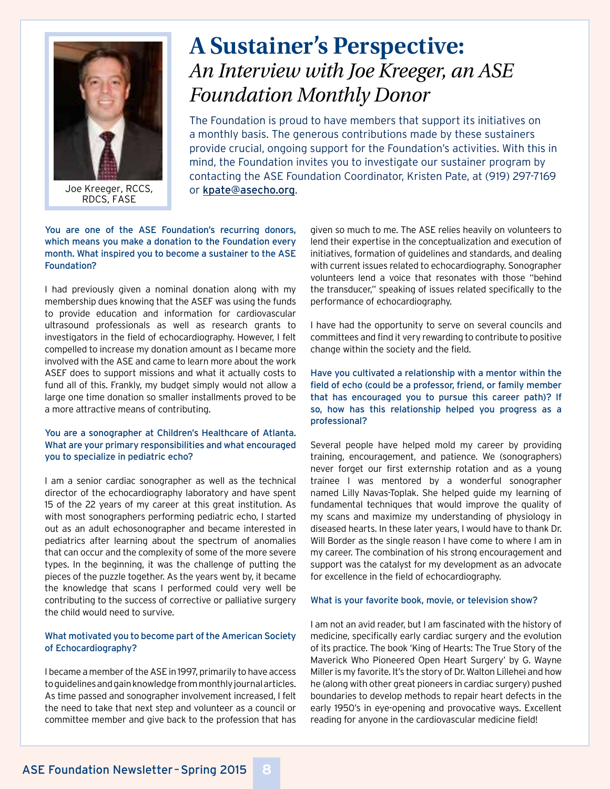

Joe Kreeger, RCCS, or [kpate@asecho.org](mailto:kpate%40asecho.org?subject=).

# **A Sustainer's Perspective:** *An Interview with Joe Kreeger, an ASE Foundation Monthly Donor*

The Foundation is proud to have members that support its initiatives on a monthly basis. The generous contributions made by these sustainers provide crucial, ongoing support for the Foundation's activities. With this in mind, the Foundation invites you to investigate our sustainer program by contacting the ASE Foundation Coordinator, Kristen Pate, at (919) 297-7169

#### You are one of the ASE Foundation's recurring donors, which means you make a donation to the Foundation every month. What inspired you to become a sustainer to the ASE Foundation?

I had previously given a nominal donation along with my membership dues knowing that the ASEF was using the funds to provide education and information for cardiovascular ultrasound professionals as well as research grants to investigators in the field of echocardiography. However, I felt compelled to increase my donation amount as I became more involved with the ASE and came to learn more about the work ASEF does to support missions and what it actually costs to fund all of this. Frankly, my budget simply would not allow a large one time donation so smaller installments proved to be a more attractive means of contributing.

#### You are a sonographer at Children's Healthcare of Atlanta. What are your primary responsibilities and what encouraged you to specialize in pediatric echo?

I am a senior cardiac sonographer as well as the technical director of the echocardiography laboratory and have spent 15 of the 22 years of my career at this great institution. As with most sonographers performing pediatric echo, I started out as an adult echosonographer and became interested in pediatrics after learning about the spectrum of anomalies that can occur and the complexity of some of the more severe types. In the beginning, it was the challenge of putting the pieces of the puzzle together. As the years went by, it became the knowledge that scans I performed could very well be contributing to the success of corrective or palliative surgery the child would need to survive.

#### What motivated you to become part of the American Society of Echocardiography?

I became a member of the ASE in 1997, primarily to have access to guidelines and gain knowledge from monthly journal articles. As time passed and sonographer involvement increased, I felt the need to take that next step and volunteer as a council or committee member and give back to the profession that has

given so much to me. The ASE relies heavily on volunteers to lend their expertise in the conceptualization and execution of initiatives, formation of guidelines and standards, and dealing with current issues related to echocardiography. Sonographer volunteers lend a voice that resonates with those "behind the transducer," speaking of issues related specifically to the performance of echocardiography.

I have had the opportunity to serve on several councils and committees and find it very rewarding to contribute to positive change within the society and the field.

Have you cultivated a relationship with a mentor within the field of echo (could be a professor, friend, or family member that has encouraged you to pursue this career path)? If so, how has this relationship helped you progress as a professional?

Several people have helped mold my career by providing training, encouragement, and patience. We (sonographers) never forget our first externship rotation and as a young trainee I was mentored by a wonderful sonographer named Lilly Navas-Toplak. She helped guide my learning of fundamental techniques that would improve the quality of my scans and maximize my understanding of physiology in diseased hearts. In these later years, I would have to thank Dr. Will Border as the single reason I have come to where I am in my career. The combination of his strong encouragement and support was the catalyst for my development as an advocate for excellence in the field of echocardiography.

#### What is your favorite book, movie, or television show?

I am not an avid reader, but I am fascinated with the history of medicine, specifically early cardiac surgery and the evolution of its practice. The book 'King of Hearts: The True Story of the Maverick Who Pioneered Open Heart Surgery' by G. Wayne Miller is my favorite. It's the story of Dr. Walton Lillehei and how he (along with other great pioneers in cardiac surgery) pushed boundaries to develop methods to repair heart defects in the early 1950's in eye-opening and provocative ways. Excellent reading for anyone in the cardiovascular medicine field!